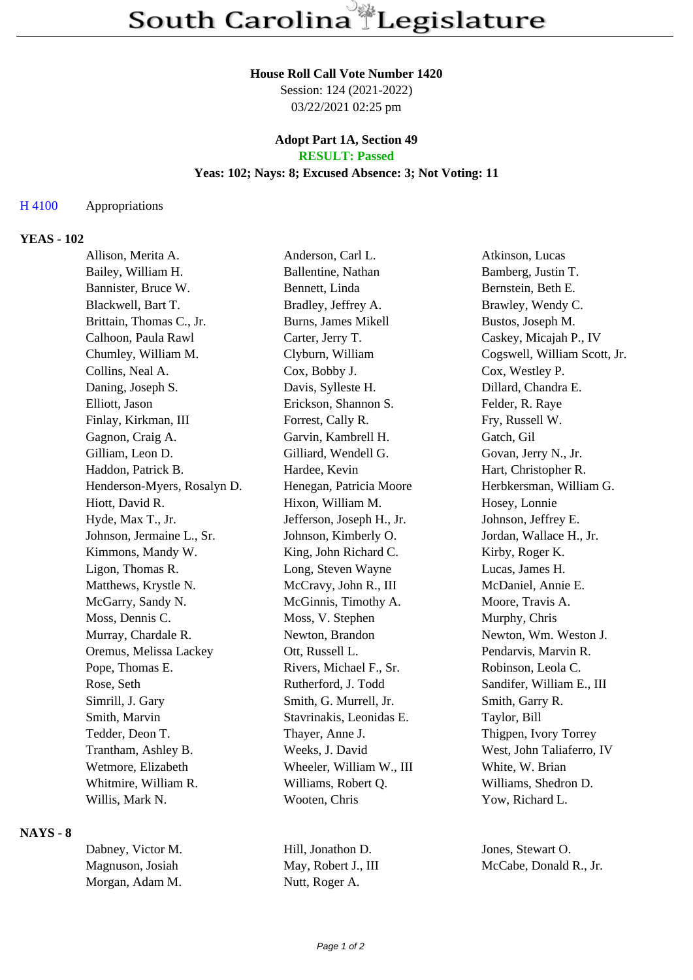# **House Roll Call Vote Number 1420**

Session: 124 (2021-2022) 03/22/2021 02:25 pm

## **Adopt Part 1A, Section 49 RESULT: Passed**

# **Yeas: 102; Nays: 8; Excused Absence: 3; Not Voting: 11**

#### H 4100 Appropriations

# **YEAS - 102**

| Allison, Merita A.          | Anderson, Carl L.         | Atkinson, Lucas              |
|-----------------------------|---------------------------|------------------------------|
| Bailey, William H.          | Ballentine, Nathan        | Bamberg, Justin T.           |
| Bannister, Bruce W.         | Bennett, Linda            | Bernstein, Beth E.           |
| Blackwell, Bart T.          | Bradley, Jeffrey A.       | Brawley, Wendy C.            |
| Brittain, Thomas C., Jr.    | Burns, James Mikell       | Bustos, Joseph M.            |
| Calhoon, Paula Rawl         | Carter, Jerry T.          | Caskey, Micajah P., IV       |
| Chumley, William M.         | Clyburn, William          | Cogswell, William Scott, Jr. |
| Collins, Neal A.            | Cox, Bobby J.             | Cox, Westley P.              |
| Daning, Joseph S.           | Davis, Sylleste H.        | Dillard, Chandra E.          |
| Elliott, Jason              | Erickson, Shannon S.      | Felder, R. Raye              |
| Finlay, Kirkman, III        | Forrest, Cally R.         | Fry, Russell W.              |
| Gagnon, Craig A.            | Garvin, Kambrell H.       | Gatch, Gil                   |
| Gilliam, Leon D.            | Gilliard, Wendell G.      | Govan, Jerry N., Jr.         |
| Haddon, Patrick B.          | Hardee, Kevin             | Hart, Christopher R.         |
| Henderson-Myers, Rosalyn D. | Henegan, Patricia Moore   | Herbkersman, William G.      |
| Hiott, David R.             | Hixon, William M.         | Hosey, Lonnie                |
| Hyde, Max T., Jr.           | Jefferson, Joseph H., Jr. | Johnson, Jeffrey E.          |
| Johnson, Jermaine L., Sr.   | Johnson, Kimberly O.      | Jordan, Wallace H., Jr.      |
| Kimmons, Mandy W.           | King, John Richard C.     | Kirby, Roger K.              |
| Ligon, Thomas R.            | Long, Steven Wayne        | Lucas, James H.              |
| Matthews, Krystle N.        | McCravy, John R., III     | McDaniel, Annie E.           |
| McGarry, Sandy N.           | McGinnis, Timothy A.      | Moore, Travis A.             |
| Moss, Dennis C.             | Moss, V. Stephen          | Murphy, Chris                |
| Murray, Chardale R.         | Newton, Brandon           | Newton, Wm. Weston J.        |
| Oremus, Melissa Lackey      | Ott, Russell L.           | Pendarvis, Marvin R.         |
| Pope, Thomas E.             | Rivers, Michael F., Sr.   | Robinson, Leola C.           |
| Rose, Seth                  | Rutherford, J. Todd       | Sandifer, William E., III    |
| Simrill, J. Gary            | Smith, G. Murrell, Jr.    | Smith, Garry R.              |
| Smith, Marvin               | Stavrinakis, Leonidas E.  | Taylor, Bill                 |
| Tedder, Deon T.             | Thayer, Anne J.           | Thigpen, Ivory Torrey        |
| Trantham, Ashley B.         | Weeks, J. David           | West, John Taliaferro, IV    |
| Wetmore, Elizabeth          | Wheeler, William W., III  | White, W. Brian              |
| Whitmire, William R.        | Williams, Robert Q.       | Williams, Shedron D.         |
| Willis, Mark N.             | Wooten, Chris             | Yow, Richard L.              |

**NAYS - 8**

| Dabney, Victor M. | Hill, Jonathon D.   | Jones, Stewart O.      |
|-------------------|---------------------|------------------------|
| Magnuson, Josiah  | May, Robert J., III | McCabe, Donald R., Jr. |
| Morgan, Adam M.   | Nutt, Roger A.      |                        |